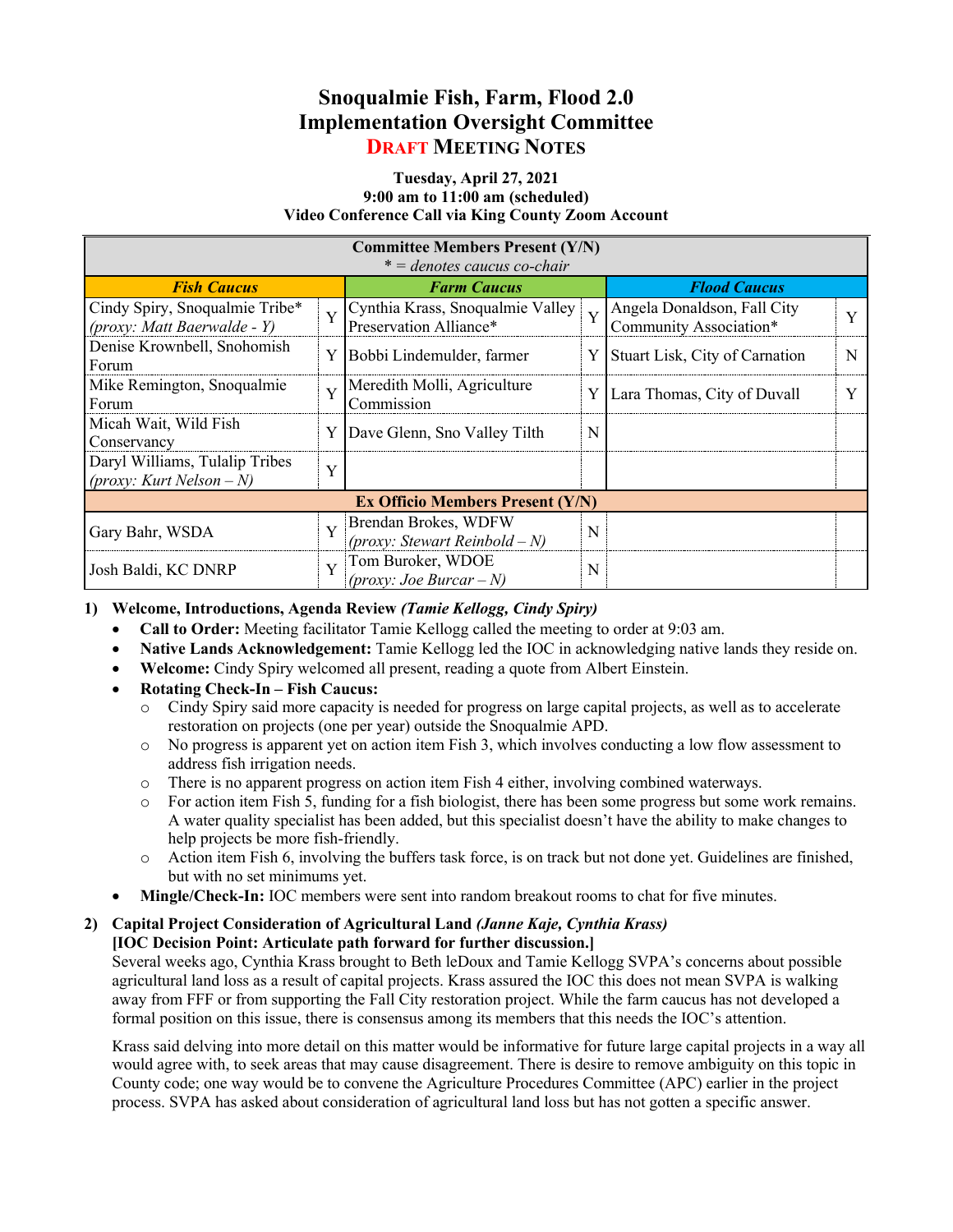# **Snoqualmie Fish, Farm, Flood 2.0 Implementation Oversight Committee DRAFT MEETING NOTES**

#### **Tuesday, April 27, 2021 9:00 am to 11:00 am (scheduled) Video Conference Call via King County Zoom Account**

| <b>Committee Members Present (Y/N)</b><br>$* =$ denotes caucus co-chair |                |                                                            |   |                                                       |   |
|-------------------------------------------------------------------------|----------------|------------------------------------------------------------|---|-------------------------------------------------------|---|
| <b>Fish Caucus</b>                                                      |                | <b>Farm Caucus</b>                                         |   | <b>Flood Caucus</b>                                   |   |
| Cindy Spiry, Snoqualmie Tribe*<br>$(prows: Matt Baerwalde - Y)$         | $\overline{Y}$ | Cynthia Krass, Snoqualmie Valley<br>Preservation Alliance* | Y | Angela Donaldson, Fall City<br>Community Association* | Y |
| Denise Krownbell, Snohomish<br>Forum                                    | Y              | Bobbi Lindemulder, farmer                                  | Y | Stuart Lisk, City of Carnation                        | N |
| Mike Remington, Snoqualmie<br>Forum                                     | Y              | Meredith Molli, Agriculture<br>Commission                  | Y | Lara Thomas, City of Duvall                           |   |
| Micah Wait, Wild Fish<br>Conservancy                                    |                | Y Dave Glenn, Sno Valley Tilth                             | N |                                                       |   |
| Daryl Williams, Tulalip Tribes<br>(proxy: Kurt Nelson – N)              | Y              |                                                            |   |                                                       |   |
| <b>Ex Officio Members Present (Y/N)</b>                                 |                |                                                            |   |                                                       |   |
| Gary Bahr, WSDA                                                         | $\mathbf{V}$   | Brendan Brokes, WDFW<br>(proxy: Stewart Reinbold – N)      | N |                                                       |   |
| Josh Baldi, KC DNRP                                                     | $\mathbf{V}$   | Tom Buroker, WDOE<br>(proxy: Joe Burcar – $N$ )            | N |                                                       |   |

## **1) Welcome, Introductions, Agenda Review** *(Tamie Kellogg, Cindy Spiry)*

- **Call to Order:** Meeting facilitator Tamie Kellogg called the meeting to order at 9:03 am.
- **Native Lands Acknowledgement:** Tamie Kellogg led the IOC in acknowledging native lands they reside on.
- **Welcome:** Cindy Spiry welcomed all present, reading a quote from Albert Einstein.
- **Rotating Check-In – Fish Caucus:**
	- o Cindy Spiry said more capacity is needed for progress on large capital projects, as well as to accelerate restoration on projects (one per year) outside the Snoqualmie APD.
	- o No progress is apparent yet on action item Fish 3, which involves conducting a low flow assessment to address fish irrigation needs.
	- o There is no apparent progress on action item Fish 4 either, involving combined waterways.
	- o For action item Fish 5, funding for a fish biologist, there has been some progress but some work remains. A water quality specialist has been added, but this specialist doesn't have the ability to make changes to help projects be more fish-friendly.
	- o Action item Fish 6, involving the buffers task force, is on track but not done yet. Guidelines are finished, but with no set minimums yet.
- **Mingle/Check-In:** IOC members were sent into random breakout rooms to chat for five minutes.

#### **2) Capital Project Consideration of Agricultural Land** *(Janne Kaje, Cynthia Krass)* **[IOC Decision Point: Articulate path forward for further discussion.]**

Several weeks ago, Cynthia Krass brought to Beth leDoux and Tamie Kellogg SVPA's concerns about possible agricultural land loss as a result of capital projects. Krass assured the IOC this does not mean SVPA is walking away from FFF or from supporting the Fall City restoration project. While the farm caucus has not developed a formal position on this issue, there is consensus among its members that this needs the IOC's attention.

Krass said delving into more detail on this matter would be informative for future large capital projects in a way all would agree with, to seek areas that may cause disagreement. There is desire to remove ambiguity on this topic in County code; one way would be to convene the Agriculture Procedures Committee (APC) earlier in the project process. SVPA has asked about consideration of agricultural land loss but has not gotten a specific answer.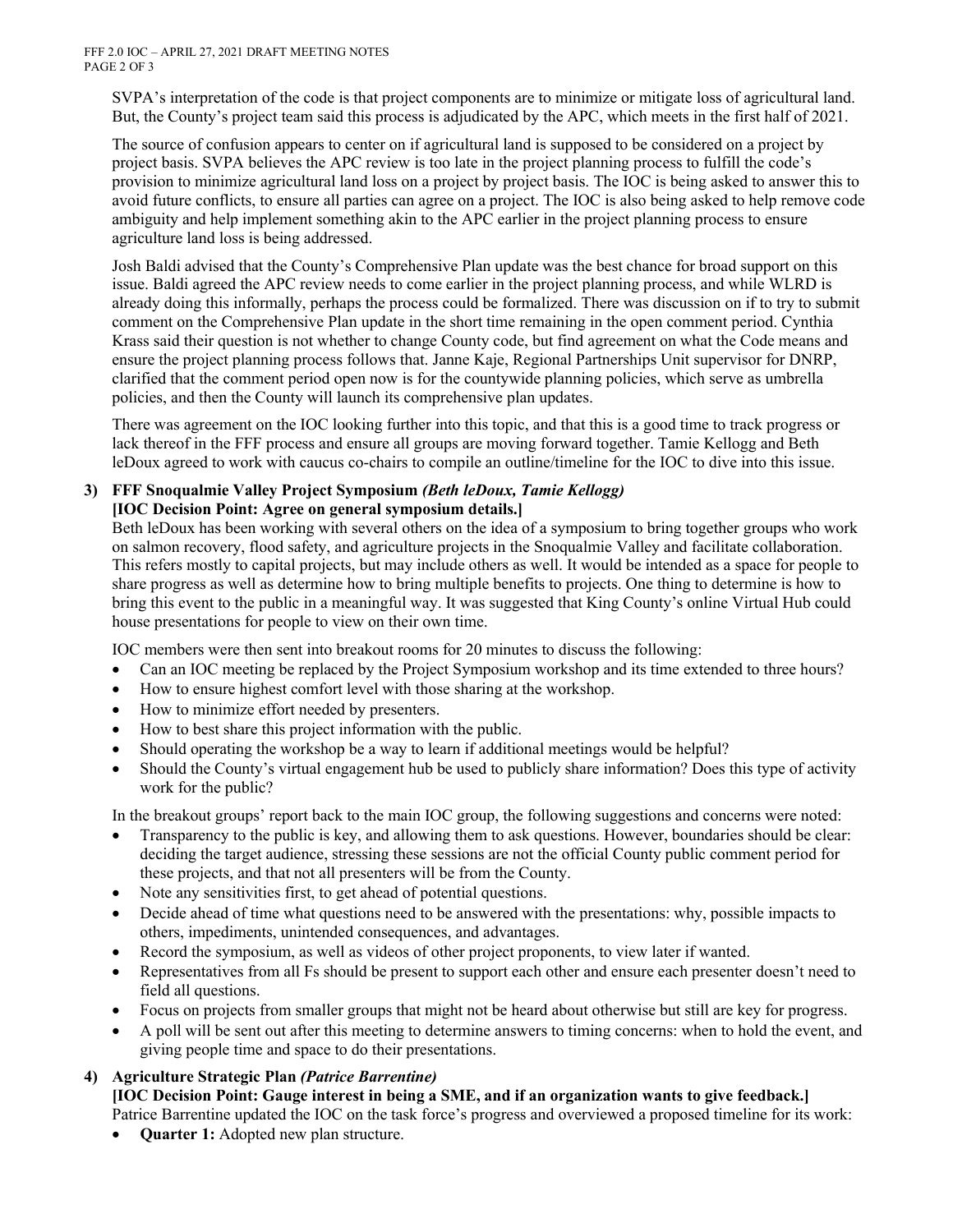FFF 2.0 IOC – APRIL 27, 2021 DRAFT MEETING NOTES PAGE 2 OF 3

SVPA's interpretation of the code is that project components are to minimize or mitigate loss of agricultural land. But, the County's project team said this process is adjudicated by the APC, which meets in the first half of 2021.

The source of confusion appears to center on if agricultural land is supposed to be considered on a project by project basis. SVPA believes the APC review is too late in the project planning process to fulfill the code's provision to minimize agricultural land loss on a project by project basis. The IOC is being asked to answer this to avoid future conflicts, to ensure all parties can agree on a project. The IOC is also being asked to help remove code ambiguity and help implement something akin to the APC earlier in the project planning process to ensure agriculture land loss is being addressed.

Josh Baldi advised that the County's Comprehensive Plan update was the best chance for broad support on this issue. Baldi agreed the APC review needs to come earlier in the project planning process, and while WLRD is already doing this informally, perhaps the process could be formalized. There was discussion on if to try to submit comment on the Comprehensive Plan update in the short time remaining in the open comment period. Cynthia Krass said their question is not whether to change County code, but find agreement on what the Code means and ensure the project planning process follows that. Janne Kaje, Regional Partnerships Unit supervisor for DNRP, clarified that the comment period open now is for the countywide planning policies, which serve as umbrella policies, and then the County will launch its comprehensive plan updates.

There was agreement on the IOC looking further into this topic, and that this is a good time to track progress or lack thereof in the FFF process and ensure all groups are moving forward together. Tamie Kellogg and Beth leDoux agreed to work with caucus co-chairs to compile an outline/timeline for the IOC to dive into this issue.

#### **3) FFF Snoqualmie Valley Project Symposium** *(Beth leDoux, Tamie Kellogg)* **[IOC Decision Point: Agree on general symposium details.]**

Beth leDoux has been working with several others on the idea of a symposium to bring together groups who work on salmon recovery, flood safety, and agriculture projects in the Snoqualmie Valley and facilitate collaboration. This refers mostly to capital projects, but may include others as well. It would be intended as a space for people to share progress as well as determine how to bring multiple benefits to projects. One thing to determine is how to bring this event to the public in a meaningful way. It was suggested that King County's online Virtual Hub could house presentations for people to view on their own time.

IOC members were then sent into breakout rooms for 20 minutes to discuss the following:

- Can an IOC meeting be replaced by the Project Symposium workshop and its time extended to three hours?
- How to ensure highest comfort level with those sharing at the workshop.
- How to minimize effort needed by presenters.
- How to best share this project information with the public.
- Should operating the workshop be a way to learn if additional meetings would be helpful?
- Should the County's virtual engagement hub be used to publicly share information? Does this type of activity work for the public?

In the breakout groups' report back to the main IOC group, the following suggestions and concerns were noted:

- Transparency to the public is key, and allowing them to ask questions. However, boundaries should be clear: deciding the target audience, stressing these sessions are not the official County public comment period for these projects, and that not all presenters will be from the County.
- Note any sensitivities first, to get ahead of potential questions.
- Decide ahead of time what questions need to be answered with the presentations: why, possible impacts to others, impediments, unintended consequences, and advantages.
- Record the symposium, as well as videos of other project proponents, to view later if wanted.
- Representatives from all Fs should be present to support each other and ensure each presenter doesn't need to field all questions.
- Focus on projects from smaller groups that might not be heard about otherwise but still are key for progress.
- A poll will be sent out after this meeting to determine answers to timing concerns: when to hold the event, and giving people time and space to do their presentations.

## **4) Agriculture Strategic Plan** *(Patrice Barrentine)*

**[IOC Decision Point: Gauge interest in being a SME, and if an organization wants to give feedback.]**

Patrice Barrentine updated the IOC on the task force's progress and overviewed a proposed timeline for its work:

• **Quarter 1:** Adopted new plan structure.